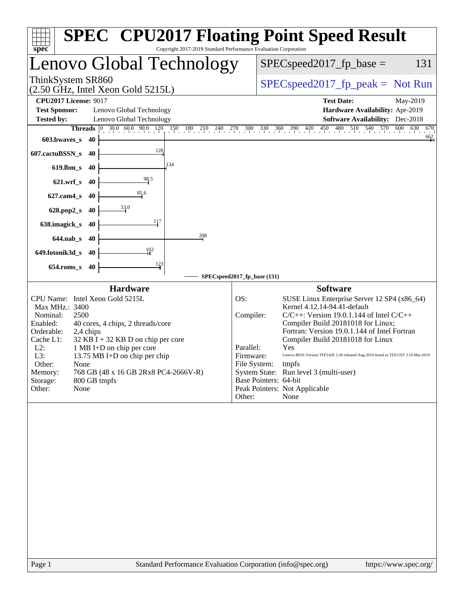| Copyright 2017-2019 Standard Performance Evaluation Corporation<br>spec <sup>®</sup>                                                                                                                                                                                                                                                                                                                                        | <b>SPEC<sup>®</sup> CPU2017 Floating Point Speed Result</b>                                                                                                                                                                                                                                                                                                                                                                                                                                                                                                        |
|-----------------------------------------------------------------------------------------------------------------------------------------------------------------------------------------------------------------------------------------------------------------------------------------------------------------------------------------------------------------------------------------------------------------------------|--------------------------------------------------------------------------------------------------------------------------------------------------------------------------------------------------------------------------------------------------------------------------------------------------------------------------------------------------------------------------------------------------------------------------------------------------------------------------------------------------------------------------------------------------------------------|
| Lenovo Global Technology                                                                                                                                                                                                                                                                                                                                                                                                    | $SPEC speed2017_fp\_base =$<br>131                                                                                                                                                                                                                                                                                                                                                                                                                                                                                                                                 |
| ThinkSystem SR860<br>$(2.50 \text{ GHz}, \text{Intel Xeon Gold } 5215L)$                                                                                                                                                                                                                                                                                                                                                    | $SPEC speed2017_fp\_peak = Not Run$                                                                                                                                                                                                                                                                                                                                                                                                                                                                                                                                |
| <b>CPU2017 License: 9017</b><br><b>Test Sponsor:</b><br>Lenovo Global Technology<br><b>Tested by:</b><br>Lenovo Global Technology                                                                                                                                                                                                                                                                                           | <b>Test Date:</b><br>May-2019<br>Hardware Availability: Apr-2019<br><b>Software Availability:</b> Dec-2018                                                                                                                                                                                                                                                                                                                                                                                                                                                         |
| <b>Threads</b><br>$ 0\rangle$<br>603.bwaves_s<br>-40                                                                                                                                                                                                                                                                                                                                                                        | 30.0 60.0 90.0 120 130 180 210 240 270 300 330 360 390 420 450 480 510 540 570 600 630<br>670<br>662                                                                                                                                                                                                                                                                                                                                                                                                                                                               |
| 128<br>607.cactuBSSN_s<br>40                                                                                                                                                                                                                                                                                                                                                                                                |                                                                                                                                                                                                                                                                                                                                                                                                                                                                                                                                                                    |
| 134<br>$619$ .lbm_s<br>40                                                                                                                                                                                                                                                                                                                                                                                                   |                                                                                                                                                                                                                                                                                                                                                                                                                                                                                                                                                                    |
| 98.5<br>$621.wrf$ <sub>S</sub><br>-40                                                                                                                                                                                                                                                                                                                                                                                       |                                                                                                                                                                                                                                                                                                                                                                                                                                                                                                                                                                    |
| 85.6<br>$627$ .cam $4_s$<br>40                                                                                                                                                                                                                                                                                                                                                                                              |                                                                                                                                                                                                                                                                                                                                                                                                                                                                                                                                                                    |
| $\frac{53.0}{2}$<br>628.pop2_s<br>40                                                                                                                                                                                                                                                                                                                                                                                        |                                                                                                                                                                                                                                                                                                                                                                                                                                                                                                                                                                    |
| 117<br>638.imagick_s<br>40                                                                                                                                                                                                                                                                                                                                                                                                  |                                                                                                                                                                                                                                                                                                                                                                                                                                                                                                                                                                    |
| 208<br>$644$ .nab $\sf s$<br>40                                                                                                                                                                                                                                                                                                                                                                                             |                                                                                                                                                                                                                                                                                                                                                                                                                                                                                                                                                                    |
| 102<br>649.fotonik3d_s<br>40                                                                                                                                                                                                                                                                                                                                                                                                |                                                                                                                                                                                                                                                                                                                                                                                                                                                                                                                                                                    |
| $\frac{123}{4}$<br>$654$ .roms_s<br>40                                                                                                                                                                                                                                                                                                                                                                                      |                                                                                                                                                                                                                                                                                                                                                                                                                                                                                                                                                                    |
|                                                                                                                                                                                                                                                                                                                                                                                                                             | SPECspeed2017_fp_base (131)                                                                                                                                                                                                                                                                                                                                                                                                                                                                                                                                        |
| <b>Hardware</b><br>CPU Name: Intel Xeon Gold 5215L<br>Max MHz.: 3400<br>Nominal:<br>2500<br>Enabled:<br>40 cores, 4 chips, 2 threads/core<br>Orderable:<br>2,4 chips<br>Cache L1:<br>$32$ KB I + 32 KB D on chip per core<br>$L2$ :<br>1 MB I+D on chip per core<br>L3:<br>13.75 MB I+D on chip per chip<br>Other:<br>None<br>768 GB (48 x 16 GB 2Rx8 PC4-2666V-R)<br>Memory:<br>800 GB tmpfs<br>Storage:<br>None<br>Other: | <b>Software</b><br>OS:<br>SUSE Linux Enterprise Server 12 SP4 (x86_64)<br>Kernel 4.12.14-94.41-default<br>Compiler:<br>$C/C++$ : Version 19.0.1.144 of Intel $C/C++$<br>Compiler Build 20181018 for Linux;<br>Fortran: Version 19.0.1.144 of Intel Fortran<br>Compiler Build 20181018 for Linux<br>Parallel:<br>Yes<br>Firmware:<br>Lenovo BIOS Version TEE142E 2.30 released Aug-2019 tested as TEE135T 2.10 Mar-2019<br>File System: tmpfs<br>System State: Run level 3 (multi-user)<br>Base Pointers: 64-bit<br>Peak Pointers: Not Applicable<br>Other:<br>None |
|                                                                                                                                                                                                                                                                                                                                                                                                                             |                                                                                                                                                                                                                                                                                                                                                                                                                                                                                                                                                                    |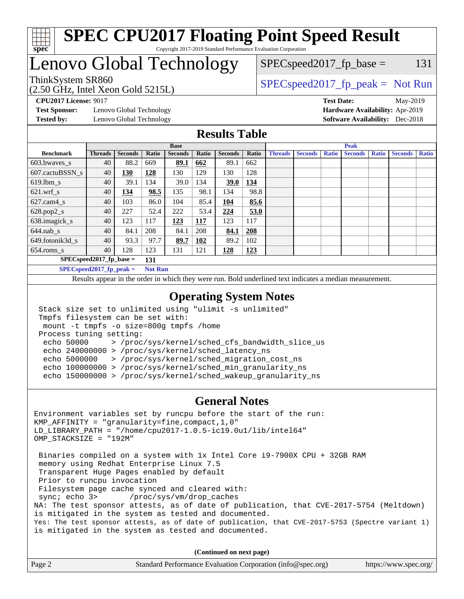

## Lenovo Global Technology

(2.50 GHz, Intel Xeon Gold 5215L)

ThinkSystem SR860<br>  $S$ PECspeed2017\_fp\_peak = Not Run

 $SPEC speed2017_fp\_base = 131$ 

**[Test Sponsor:](http://www.spec.org/auto/cpu2017/Docs/result-fields.html#TestSponsor)** Lenovo Global Technology **[Hardware Availability:](http://www.spec.org/auto/cpu2017/Docs/result-fields.html#HardwareAvailability)** Apr-2019 **[Tested by:](http://www.spec.org/auto/cpu2017/Docs/result-fields.html#Testedby)** Lenovo Global Technology **[Software Availability:](http://www.spec.org/auto/cpu2017/Docs/result-fields.html#SoftwareAvailability)** Dec-2018

**[CPU2017 License:](http://www.spec.org/auto/cpu2017/Docs/result-fields.html#CPU2017License)** 9017 **[Test Date:](http://www.spec.org/auto/cpu2017/Docs/result-fields.html#TestDate)** May-2019

### **[Results Table](http://www.spec.org/auto/cpu2017/Docs/result-fields.html#ResultsTable)**

|                                   | <b>Base</b>    |                |                |                |       | <b>Peak</b>    |            |                |                |              |                |              |                |              |
|-----------------------------------|----------------|----------------|----------------|----------------|-------|----------------|------------|----------------|----------------|--------------|----------------|--------------|----------------|--------------|
| <b>Benchmark</b>                  | <b>Threads</b> | <b>Seconds</b> | Ratio          | <b>Seconds</b> | Ratio | <b>Seconds</b> | Ratio      | <b>Threads</b> | <b>Seconds</b> | <b>Ratio</b> | <b>Seconds</b> | <b>Ratio</b> | <b>Seconds</b> | <b>Ratio</b> |
| $603.bwaves$ s                    | 40             | 88.2           | 669            | 89.1           | 662   | 89.1           | 662        |                |                |              |                |              |                |              |
| 607.cactuBSSN s                   | 40             | 130            | 128            | 130            | 129   | 130            | 128        |                |                |              |                |              |                |              |
| $619.1$ bm s                      | 40             | 39.1           | 134            | 39.0           | 134   | <b>39.0</b>    | 134        |                |                |              |                |              |                |              |
| $621$ .wrf s                      | 40             | <u>134</u>     | 98.5           | 135            | 98.1  | 134            | 98.8       |                |                |              |                |              |                |              |
| $627.cam4_s$                      | 40             | 103            | 86.0           | 104            | 85.4  | 104            | 85.6       |                |                |              |                |              |                |              |
| $628.pop2_s$                      | 40             | 227            | 52.4           | 222            | 53.4  | 224            | 53.0       |                |                |              |                |              |                |              |
| 638.imagick_s                     | 40             | 123            | 117            | 123            | 117   | 123            | 117        |                |                |              |                |              |                |              |
| $644$ .nab s                      | 40             | 84.1           | 208            | 84.1           | 208   | 84.1           | 208        |                |                |              |                |              |                |              |
| 649.fotonik3d s                   | 40             | 93.3           | 97.7           | 89.7           | 102   | 89.2           | 102        |                |                |              |                |              |                |              |
| $654$ .roms s                     | 40             | 128            | 123            | 131            | 121   | 128            | <u>123</u> |                |                |              |                |              |                |              |
| $SPEC speed2017$ fp base =<br>131 |                |                |                |                |       |                |            |                |                |              |                |              |                |              |
| $SPECspeed2017_fp\_peak =$        |                |                | <b>Not Run</b> |                |       |                |            |                |                |              |                |              |                |              |

Results appear in the [order in which they were run.](http://www.spec.org/auto/cpu2017/Docs/result-fields.html#RunOrder) Bold underlined text [indicates a median measurement](http://www.spec.org/auto/cpu2017/Docs/result-fields.html#Median).

#### **[Operating System Notes](http://www.spec.org/auto/cpu2017/Docs/result-fields.html#OperatingSystemNotes)**

```
 Stack size set to unlimited using "ulimit -s unlimited"
 Tmpfs filesystem can be set with:
 mount -t tmpfs -o size=800g tmpfs /home
 Process tuning setting:
  echo 50000 > /proc/sys/kernel/sched_cfs_bandwidth_slice_us
  echo 240000000 > /proc/sys/kernel/sched_latency_ns
  echo 5000000 > /proc/sys/kernel/sched_migration_cost_ns
  echo 100000000 > /proc/sys/kernel/sched_min_granularity_ns
  echo 150000000 > /proc/sys/kernel/sched_wakeup_granularity_ns
```
#### **[General Notes](http://www.spec.org/auto/cpu2017/Docs/result-fields.html#GeneralNotes)**

Environment variables set by runcpu before the start of the run: KMP\_AFFINITY = "granularity=fine,compact,1,0" LD\_LIBRARY\_PATH = "/home/cpu2017-1.0.5-ic19.0u1/lib/intel64" OMP\_STACKSIZE = "192M" Binaries compiled on a system with 1x Intel Core i9-7900X CPU + 32GB RAM memory using Redhat Enterprise Linux 7.5 Transparent Huge Pages enabled by default Prior to runcpu invocation Filesystem page cache synced and cleared with: sync; echo 3> /proc/sys/vm/drop\_caches NA: The test sponsor attests, as of date of publication, that CVE-2017-5754 (Meltdown) is mitigated in the system as tested and documented. Yes: The test sponsor attests, as of date of publication, that CVE-2017-5753 (Spectre variant 1) is mitigated in the system as tested and documented.

**(Continued on next page)**

| Page 2 | Standard Performance Evaluation Corporation (info@spec.org) | https://www.spec.org/ |
|--------|-------------------------------------------------------------|-----------------------|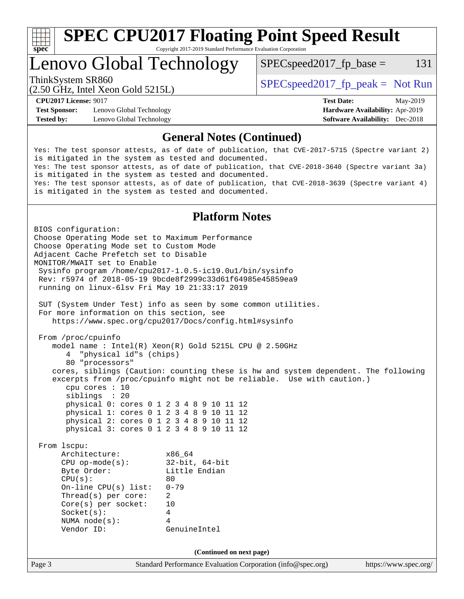

Lenovo Global Technology

 $SPEC speed2017<sub>fp</sub> base = 131$ 

(2.50 GHz, Intel Xeon Gold 5215L)

ThinkSystem SR860<br>  $S$ PECspeed2017\_fp\_peak = Not Run

**[Test Sponsor:](http://www.spec.org/auto/cpu2017/Docs/result-fields.html#TestSponsor)** Lenovo Global Technology **[Hardware Availability:](http://www.spec.org/auto/cpu2017/Docs/result-fields.html#HardwareAvailability)** Apr-2019 **[Tested by:](http://www.spec.org/auto/cpu2017/Docs/result-fields.html#Testedby)** Lenovo Global Technology **[Software Availability:](http://www.spec.org/auto/cpu2017/Docs/result-fields.html#SoftwareAvailability)** Dec-2018

**[CPU2017 License:](http://www.spec.org/auto/cpu2017/Docs/result-fields.html#CPU2017License)** 9017 **[Test Date:](http://www.spec.org/auto/cpu2017/Docs/result-fields.html#TestDate)** May-2019

### **[General Notes \(Continued\)](http://www.spec.org/auto/cpu2017/Docs/result-fields.html#GeneralNotes)**

Yes: The test sponsor attests, as of date of publication, that CVE-2017-5715 (Spectre variant 2) is mitigated in the system as tested and documented. Yes: The test sponsor attests, as of date of publication, that CVE-2018-3640 (Spectre variant 3a) is mitigated in the system as tested and documented. Yes: The test sponsor attests, as of date of publication, that CVE-2018-3639 (Spectre variant 4) is mitigated in the system as tested and documented.

## **[Platform Notes](http://www.spec.org/auto/cpu2017/Docs/result-fields.html#PlatformNotes)**

Page 3 Standard Performance Evaluation Corporation [\(info@spec.org\)](mailto:info@spec.org) <https://www.spec.org/> BIOS configuration: Choose Operating Mode set to Maximum Performance Choose Operating Mode set to Custom Mode Adjacent Cache Prefetch set to Disable MONITOR/MWAIT set to Enable Sysinfo program /home/cpu2017-1.0.5-ic19.0u1/bin/sysinfo Rev: r5974 of 2018-05-19 9bcde8f2999c33d61f64985e45859ea9 running on linux-6lsv Fri May 10 21:33:17 2019 SUT (System Under Test) info as seen by some common utilities. For more information on this section, see <https://www.spec.org/cpu2017/Docs/config.html#sysinfo> From /proc/cpuinfo model name : Intel(R) Xeon(R) Gold 5215L CPU @ 2.50GHz 4 "physical id"s (chips) 80 "processors" cores, siblings (Caution: counting these is hw and system dependent. The following excerpts from /proc/cpuinfo might not be reliable. Use with caution.) cpu cores : 10 siblings : 20 physical 0: cores 0 1 2 3 4 8 9 10 11 12 physical 1: cores 0 1 2 3 4 8 9 10 11 12 physical 2: cores 0 1 2 3 4 8 9 10 11 12 physical 3: cores 0 1 2 3 4 8 9 10 11 12 From lscpu: Architecture: x86\_64 CPU op-mode(s): 32-bit, 64-bit Byte Order: Little Endian  $CPU(s):$  80 On-line CPU(s) list: 0-79 Thread(s) per core: 2 Core(s) per socket: 10 Socket(s): 4 NUMA node(s): 4 Vendor ID: GenuineIntel **(Continued on next page)**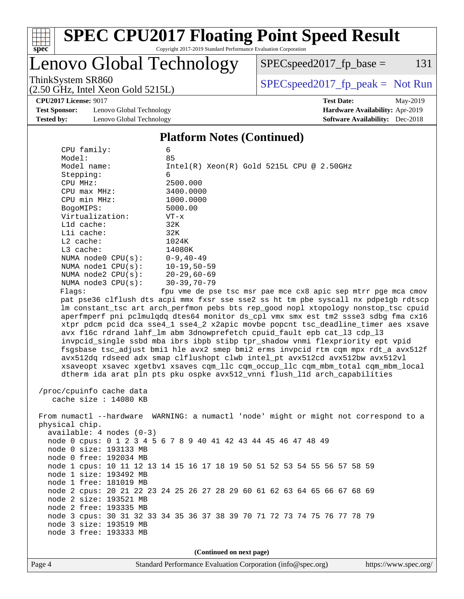

## Lenovo Global Technology

 $SPEC speed2017<sub>fp</sub> base = 131$ 

(2.50 GHz, Intel Xeon Gold 5215L)

ThinkSystem SR860<br>  $S$ PECspeed2017\_fp\_peak = Not Run

**[CPU2017 License:](http://www.spec.org/auto/cpu2017/Docs/result-fields.html#CPU2017License)** 9017 **[Test Date:](http://www.spec.org/auto/cpu2017/Docs/result-fields.html#TestDate)** May-2019

**[Test Sponsor:](http://www.spec.org/auto/cpu2017/Docs/result-fields.html#TestSponsor)** Lenovo Global Technology **[Hardware Availability:](http://www.spec.org/auto/cpu2017/Docs/result-fields.html#HardwareAvailability)** Apr-2019

# **[Tested by:](http://www.spec.org/auto/cpu2017/Docs/result-fields.html#Testedby)** Lenovo Global Technology **[Software Availability:](http://www.spec.org/auto/cpu2017/Docs/result-fields.html#SoftwareAvailability)** Dec-2018

#### **[Platform Notes \(Continued\)](http://www.spec.org/auto/cpu2017/Docs/result-fields.html#PlatformNotes)** CPU family: 6 Model: 85 Model name:  $Intel(R)$  Xeon(R) Gold 5215L CPU @ 2.50GHz Stepping: 6 CPU MHz: 2500.000 CPU max MHz: 3400.0000 CPU min MHz:  $1000.0000$ <br>BogoMIPS: 5000.00 BogoMIPS: Virtualization: VT-x L1d cache: 32K L1i cache: 32K L2 cache: 1024K L3 cache: 14080K NUMA node0 CPU(s): 0-9,40-49 NUMA node1 CPU(s): 10-19,50-59 NUMA node2 CPU(s): 20-29,60-69 NUMA node3 CPU(s): 30-39,70-79 Flags: fpu vme de pse tsc msr pae mce cx8 apic sep mtrr pge mca cmov pat pse36 clflush dts acpi mmx fxsr sse sse2 ss ht tm pbe syscall nx pdpe1gb rdtscp lm constant\_tsc art arch\_perfmon pebs bts rep\_good nopl xtopology nonstop\_tsc cpuid aperfmperf pni pclmulqdq dtes64 monitor ds\_cpl vmx smx est tm2 ssse3 sdbg fma cx16 xtpr pdcm pcid dca sse4\_1 sse4\_2 x2apic movbe popcnt tsc\_deadline\_timer aes xsave avx f16c rdrand lahf\_lm abm 3dnowprefetch cpuid\_fault epb cat\_l3 cdp\_l3 invpcid\_single ssbd mba ibrs ibpb stibp tpr\_shadow vnmi flexpriority ept vpid fsgsbase tsc\_adjust bmi1 hle avx2 smep bmi2 erms invpcid rtm cqm mpx rdt\_a avx512f avx512dq rdseed adx smap clflushopt clwb intel\_pt avx512cd avx512bw avx512vl xsaveopt xsavec xgetbv1 xsaves cqm\_llc cqm\_occup\_llc cqm\_mbm\_total cqm\_mbm\_local dtherm ida arat pln pts pku ospke avx512\_vnni flush\_l1d arch\_capabilities /proc/cpuinfo cache data cache size : 14080 KB From numactl --hardware WARNING: a numactl 'node' might or might not correspond to a physical chip.

 available: 4 nodes (0-3) node 0 cpus: 0 1 2 3 4 5 6 7 8 9 40 41 42 43 44 45 46 47 48 49 node 0 size: 193133 MB node 0 free: 192034 MB node 1 cpus: 10 11 12 13 14 15 16 17 18 19 50 51 52 53 54 55 56 57 58 59 node 1 size: 193492 MB node 1 free: 181019 MB node 2 cpus: 20 21 22 23 24 25 26 27 28 29 60 61 62 63 64 65 66 67 68 69 node 2 size: 193521 MB node 2 free: 193335 MB node 3 cpus: 30 31 32 33 34 35 36 37 38 39 70 71 72 73 74 75 76 77 78 79 node 3 size: 193519 MB node 3 free: 193333 MB

**(Continued on next page)**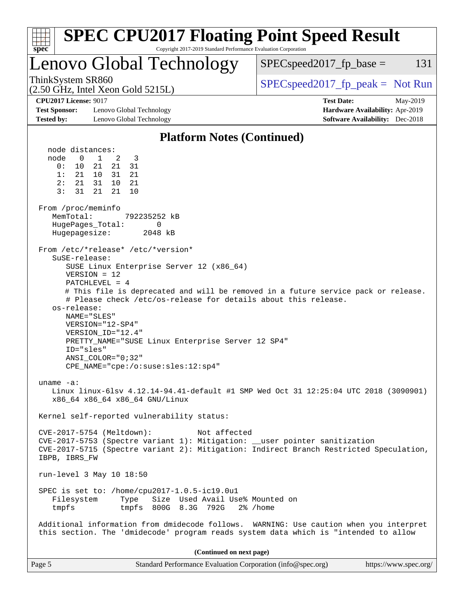| <b>SPEC CPU2017 Floating Point Speed Result</b><br>Copyright 2017-2019 Standard Performance Evaluation Corporation<br>spec <sup>®</sup>                                                                                                                                                                                                                                                                                                                                                                                                                                                                                                                                                                                                                                                                                                                                                                                                                                                                                                                                                                                                                                                                                                                                                                                                                              |                                                                                                            |
|----------------------------------------------------------------------------------------------------------------------------------------------------------------------------------------------------------------------------------------------------------------------------------------------------------------------------------------------------------------------------------------------------------------------------------------------------------------------------------------------------------------------------------------------------------------------------------------------------------------------------------------------------------------------------------------------------------------------------------------------------------------------------------------------------------------------------------------------------------------------------------------------------------------------------------------------------------------------------------------------------------------------------------------------------------------------------------------------------------------------------------------------------------------------------------------------------------------------------------------------------------------------------------------------------------------------------------------------------------------------|------------------------------------------------------------------------------------------------------------|
| <b>Lenovo Global Technology</b>                                                                                                                                                                                                                                                                                                                                                                                                                                                                                                                                                                                                                                                                                                                                                                                                                                                                                                                                                                                                                                                                                                                                                                                                                                                                                                                                      | $SPEC speed2017fr base =$<br>131                                                                           |
| ThinkSystem SR860<br>$(2.50 \text{ GHz}, \text{Intel Xeon Gold } 5215L)$                                                                                                                                                                                                                                                                                                                                                                                                                                                                                                                                                                                                                                                                                                                                                                                                                                                                                                                                                                                                                                                                                                                                                                                                                                                                                             | $SPEC speed2017rfp peak = Not Run$                                                                         |
| <b>CPU2017 License: 9017</b><br><b>Test Sponsor:</b><br>Lenovo Global Technology<br><b>Tested by:</b><br>Lenovo Global Technology                                                                                                                                                                                                                                                                                                                                                                                                                                                                                                                                                                                                                                                                                                                                                                                                                                                                                                                                                                                                                                                                                                                                                                                                                                    | <b>Test Date:</b><br>May-2019<br>Hardware Availability: Apr-2019<br><b>Software Availability:</b> Dec-2018 |
| <b>Platform Notes (Continued)</b>                                                                                                                                                                                                                                                                                                                                                                                                                                                                                                                                                                                                                                                                                                                                                                                                                                                                                                                                                                                                                                                                                                                                                                                                                                                                                                                                    |                                                                                                            |
| node distances:<br>node<br>$\mathbf{0}$<br>1<br>2<br>3<br>0:<br>21<br>10<br>21<br>31<br>1:<br>21 10<br>31<br>21<br>2:<br>10<br>21<br>- 31<br>21<br>3:<br>21<br>21<br>10<br>31<br>From /proc/meminfo<br>MemTotal:<br>792235252 kB<br>HugePages_Total:<br>0<br>Hugepagesize:<br>2048 kB<br>From /etc/*release* /etc/*version*<br>SuSE-release:<br>SUSE Linux Enterprise Server 12 (x86_64)<br>$VERSION = 12$<br>PATCHLEVEL = $4$<br># This file is deprecated and will be removed in a future service pack or release.<br># Please check /etc/os-release for details about this release.<br>os-release:<br>NAME="SLES"<br>VERSION="12-SP4"<br>VERSION_ID="12.4"<br>PRETTY_NAME="SUSE Linux Enterprise Server 12 SP4"<br>ID="sles"<br>$ANSI$ _COLOR=" $0:32$ "<br>CPE_NAME="cpe:/o:suse:sles:12:sp4"<br>uname $-a$ :<br>Linux linux-61sv 4.12.14-94.41-default #1 SMP Wed Oct 31 12:25:04 UTC 2018 (3090901)<br>x86_64 x86_64 x86_64 GNU/Linux<br>Kernel self-reported vulnerability status:<br>CVE-2017-5754 (Meltdown):<br>Not affected<br>CVE-2017-5753 (Spectre variant 1): Mitigation: __user pointer sanitization<br>CVE-2017-5715 (Spectre variant 2): Mitigation: Indirect Branch Restricted Speculation,<br>IBPB, IBRS FW<br>run-level 3 May 10 18:50<br>SPEC is set to: /home/cpu2017-1.0.5-ic19.0u1<br>Filesystem<br>Size Used Avail Use% Mounted on<br>Type |                                                                                                            |
| tmpfs 800G 8.3G 792G<br>2% /home<br>tmpfs<br>Additional information from dmidecode follows. WARNING: Use caution when you interpret                                                                                                                                                                                                                                                                                                                                                                                                                                                                                                                                                                                                                                                                                                                                                                                                                                                                                                                                                                                                                                                                                                                                                                                                                                  |                                                                                                            |
| this section. The 'dmidecode' program reads system data which is "intended to allow                                                                                                                                                                                                                                                                                                                                                                                                                                                                                                                                                                                                                                                                                                                                                                                                                                                                                                                                                                                                                                                                                                                                                                                                                                                                                  |                                                                                                            |
| (Continued on next page)<br>Page 5<br>Standard Performance Evaluation Corporation (info@spec.org)                                                                                                                                                                                                                                                                                                                                                                                                                                                                                                                                                                                                                                                                                                                                                                                                                                                                                                                                                                                                                                                                                                                                                                                                                                                                    | https://www.spec.org/                                                                                      |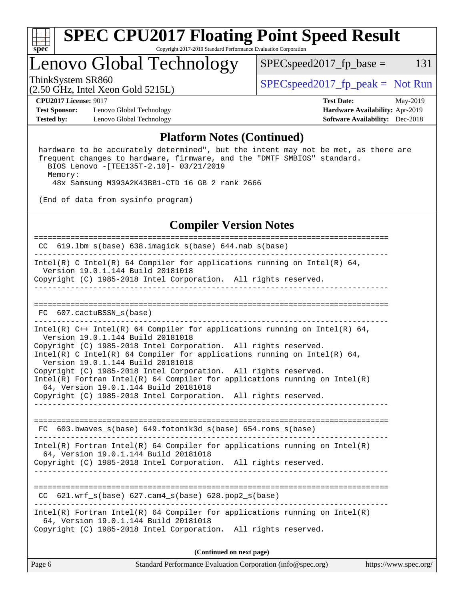

## Lenovo Global Technology

 $SPEC speed2017_fp\_base = 131$ 

(2.50 GHz, Intel Xeon Gold 5215L)

ThinkSystem SR860<br>  $S$ PECspeed2017\_fp\_peak = Not Run

**[Test Sponsor:](http://www.spec.org/auto/cpu2017/Docs/result-fields.html#TestSponsor)** Lenovo Global Technology **[Hardware Availability:](http://www.spec.org/auto/cpu2017/Docs/result-fields.html#HardwareAvailability)** Apr-2019 **[Tested by:](http://www.spec.org/auto/cpu2017/Docs/result-fields.html#Testedby)** Lenovo Global Technology **[Software Availability:](http://www.spec.org/auto/cpu2017/Docs/result-fields.html#SoftwareAvailability)** Dec-2018

**[CPU2017 License:](http://www.spec.org/auto/cpu2017/Docs/result-fields.html#CPU2017License)** 9017 **[Test Date:](http://www.spec.org/auto/cpu2017/Docs/result-fields.html#TestDate)** May-2019

#### **[Platform Notes \(Continued\)](http://www.spec.org/auto/cpu2017/Docs/result-fields.html#PlatformNotes)**

 hardware to be accurately determined", but the intent may not be met, as there are frequent changes to hardware, firmware, and the "DMTF SMBIOS" standard. BIOS Lenovo -[TEE135T-2.10]- 03/21/2019 Memory: 48x Samsung M393A2K43BB1-CTD 16 GB 2 rank 2666

(End of data from sysinfo program)

#### **[Compiler Version Notes](http://www.spec.org/auto/cpu2017/Docs/result-fields.html#CompilerVersionNotes)**

Page 6 Standard Performance Evaluation Corporation [\(info@spec.org\)](mailto:info@spec.org) <https://www.spec.org/> ============================================================================== CC 619.lbm\_s(base) 638.imagick\_s(base) 644.nab\_s(base) ------------------------------------------------------------------------------ Intel(R) C Intel(R) 64 Compiler for applications running on Intel(R)  $64$ , Version 19.0.1.144 Build 20181018 Copyright (C) 1985-2018 Intel Corporation. All rights reserved. ------------------------------------------------------------------------------ ============================================================================== FC 607.cactuBSSN\_s(base) ------------------------------------------------------------------------------ Intel(R) C++ Intel(R) 64 Compiler for applications running on Intel(R)  $64$ , Version 19.0.1.144 Build 20181018 Copyright (C) 1985-2018 Intel Corporation. All rights reserved. Intel(R) C Intel(R) 64 Compiler for applications running on Intel(R) 64, Version 19.0.1.144 Build 20181018 Copyright (C) 1985-2018 Intel Corporation. All rights reserved. Intel(R) Fortran Intel(R) 64 Compiler for applications running on Intel(R) 64, Version 19.0.1.144 Build 20181018 Copyright (C) 1985-2018 Intel Corporation. All rights reserved. ------------------------------------------------------------------------------ ============================================================================== FC 603.bwaves s(base) 649.fotonik3d\_s(base) 654.roms\_s(base) ------------------------------------------------------------------------------ Intel(R) Fortran Intel(R) 64 Compiler for applications running on Intel(R) 64, Version 19.0.1.144 Build 20181018 Copyright (C) 1985-2018 Intel Corporation. All rights reserved. ------------------------------------------------------------------------------ ============================================================================== CC 621.wrf\_s(base) 627.cam4\_s(base) 628.pop2\_s(base) ------------------------------------------------------------------------------ Intel(R) Fortran Intel(R) 64 Compiler for applications running on Intel(R) 64, Version 19.0.1.144 Build 20181018 Copyright (C) 1985-2018 Intel Corporation. All rights reserved. **(Continued on next page)**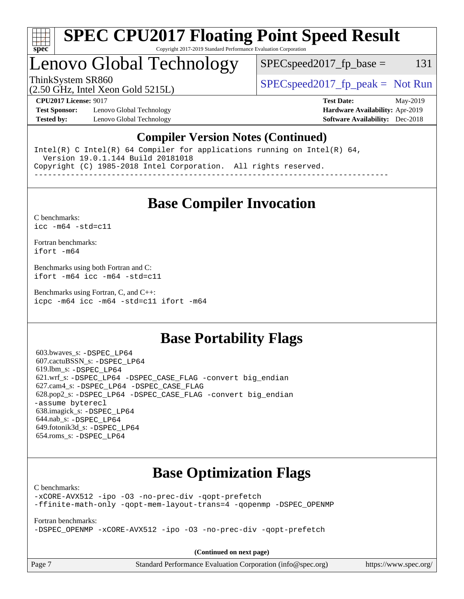

## Lenovo Global Technology

 $SPEC speed2017_f p\_base = 131$ 

(2.50 GHz, Intel Xeon Gold 5215L)

ThinkSystem SR860<br>  $S$ PECspeed2017\_fp\_peak = Not Run

**[Test Sponsor:](http://www.spec.org/auto/cpu2017/Docs/result-fields.html#TestSponsor)** Lenovo Global Technology **[Hardware Availability:](http://www.spec.org/auto/cpu2017/Docs/result-fields.html#HardwareAvailability)** Apr-2019 **[Tested by:](http://www.spec.org/auto/cpu2017/Docs/result-fields.html#Testedby)** Lenovo Global Technology **[Software Availability:](http://www.spec.org/auto/cpu2017/Docs/result-fields.html#SoftwareAvailability)** Dec-2018

**[CPU2017 License:](http://www.spec.org/auto/cpu2017/Docs/result-fields.html#CPU2017License)** 9017 **[Test Date:](http://www.spec.org/auto/cpu2017/Docs/result-fields.html#TestDate)** May-2019

### **[Compiler Version Notes \(Continued\)](http://www.spec.org/auto/cpu2017/Docs/result-fields.html#CompilerVersionNotes)**

Intel(R) C Intel(R) 64 Compiler for applications running on Intel(R)  $64$ , Version 19.0.1.144 Build 20181018 Copyright (C) 1985-2018 Intel Corporation. All rights reserved. ------------------------------------------------------------------------------

**[Base Compiler Invocation](http://www.spec.org/auto/cpu2017/Docs/result-fields.html#BaseCompilerInvocation)**

[C benchmarks](http://www.spec.org/auto/cpu2017/Docs/result-fields.html#Cbenchmarks): [icc -m64 -std=c11](http://www.spec.org/cpu2017/results/res2019q3/cpu2017-20190708-15974.flags.html#user_CCbase_intel_icc_64bit_c11_33ee0cdaae7deeeab2a9725423ba97205ce30f63b9926c2519791662299b76a0318f32ddfffdc46587804de3178b4f9328c46fa7c2b0cd779d7a61945c91cd35)

[Fortran benchmarks](http://www.spec.org/auto/cpu2017/Docs/result-fields.html#Fortranbenchmarks): [ifort -m64](http://www.spec.org/cpu2017/results/res2019q3/cpu2017-20190708-15974.flags.html#user_FCbase_intel_ifort_64bit_24f2bb282fbaeffd6157abe4f878425411749daecae9a33200eee2bee2fe76f3b89351d69a8130dd5949958ce389cf37ff59a95e7a40d588e8d3a57e0c3fd751)

[Benchmarks using both Fortran and C](http://www.spec.org/auto/cpu2017/Docs/result-fields.html#BenchmarksusingbothFortranandC): [ifort -m64](http://www.spec.org/cpu2017/results/res2019q3/cpu2017-20190708-15974.flags.html#user_CC_FCbase_intel_ifort_64bit_24f2bb282fbaeffd6157abe4f878425411749daecae9a33200eee2bee2fe76f3b89351d69a8130dd5949958ce389cf37ff59a95e7a40d588e8d3a57e0c3fd751) [icc -m64 -std=c11](http://www.spec.org/cpu2017/results/res2019q3/cpu2017-20190708-15974.flags.html#user_CC_FCbase_intel_icc_64bit_c11_33ee0cdaae7deeeab2a9725423ba97205ce30f63b9926c2519791662299b76a0318f32ddfffdc46587804de3178b4f9328c46fa7c2b0cd779d7a61945c91cd35)

[Benchmarks using Fortran, C, and C++:](http://www.spec.org/auto/cpu2017/Docs/result-fields.html#BenchmarksusingFortranCandCXX) [icpc -m64](http://www.spec.org/cpu2017/results/res2019q3/cpu2017-20190708-15974.flags.html#user_CC_CXX_FCbase_intel_icpc_64bit_4ecb2543ae3f1412ef961e0650ca070fec7b7afdcd6ed48761b84423119d1bf6bdf5cad15b44d48e7256388bc77273b966e5eb805aefd121eb22e9299b2ec9d9) [icc -m64 -std=c11](http://www.spec.org/cpu2017/results/res2019q3/cpu2017-20190708-15974.flags.html#user_CC_CXX_FCbase_intel_icc_64bit_c11_33ee0cdaae7deeeab2a9725423ba97205ce30f63b9926c2519791662299b76a0318f32ddfffdc46587804de3178b4f9328c46fa7c2b0cd779d7a61945c91cd35) [ifort -m64](http://www.spec.org/cpu2017/results/res2019q3/cpu2017-20190708-15974.flags.html#user_CC_CXX_FCbase_intel_ifort_64bit_24f2bb282fbaeffd6157abe4f878425411749daecae9a33200eee2bee2fe76f3b89351d69a8130dd5949958ce389cf37ff59a95e7a40d588e8d3a57e0c3fd751)

## **[Base Portability Flags](http://www.spec.org/auto/cpu2017/Docs/result-fields.html#BasePortabilityFlags)**

 603.bwaves\_s: [-DSPEC\\_LP64](http://www.spec.org/cpu2017/results/res2019q3/cpu2017-20190708-15974.flags.html#suite_basePORTABILITY603_bwaves_s_DSPEC_LP64) 607.cactuBSSN\_s: [-DSPEC\\_LP64](http://www.spec.org/cpu2017/results/res2019q3/cpu2017-20190708-15974.flags.html#suite_basePORTABILITY607_cactuBSSN_s_DSPEC_LP64) 619.lbm\_s: [-DSPEC\\_LP64](http://www.spec.org/cpu2017/results/res2019q3/cpu2017-20190708-15974.flags.html#suite_basePORTABILITY619_lbm_s_DSPEC_LP64) 621.wrf\_s: [-DSPEC\\_LP64](http://www.spec.org/cpu2017/results/res2019q3/cpu2017-20190708-15974.flags.html#suite_basePORTABILITY621_wrf_s_DSPEC_LP64) [-DSPEC\\_CASE\\_FLAG](http://www.spec.org/cpu2017/results/res2019q3/cpu2017-20190708-15974.flags.html#b621.wrf_s_baseCPORTABILITY_DSPEC_CASE_FLAG) [-convert big\\_endian](http://www.spec.org/cpu2017/results/res2019q3/cpu2017-20190708-15974.flags.html#user_baseFPORTABILITY621_wrf_s_convert_big_endian_c3194028bc08c63ac5d04de18c48ce6d347e4e562e8892b8bdbdc0214820426deb8554edfa529a3fb25a586e65a3d812c835984020483e7e73212c4d31a38223) 627.cam4\_s: [-DSPEC\\_LP64](http://www.spec.org/cpu2017/results/res2019q3/cpu2017-20190708-15974.flags.html#suite_basePORTABILITY627_cam4_s_DSPEC_LP64) [-DSPEC\\_CASE\\_FLAG](http://www.spec.org/cpu2017/results/res2019q3/cpu2017-20190708-15974.flags.html#b627.cam4_s_baseCPORTABILITY_DSPEC_CASE_FLAG) 628.pop2\_s: [-DSPEC\\_LP64](http://www.spec.org/cpu2017/results/res2019q3/cpu2017-20190708-15974.flags.html#suite_basePORTABILITY628_pop2_s_DSPEC_LP64) [-DSPEC\\_CASE\\_FLAG](http://www.spec.org/cpu2017/results/res2019q3/cpu2017-20190708-15974.flags.html#b628.pop2_s_baseCPORTABILITY_DSPEC_CASE_FLAG) [-convert big\\_endian](http://www.spec.org/cpu2017/results/res2019q3/cpu2017-20190708-15974.flags.html#user_baseFPORTABILITY628_pop2_s_convert_big_endian_c3194028bc08c63ac5d04de18c48ce6d347e4e562e8892b8bdbdc0214820426deb8554edfa529a3fb25a586e65a3d812c835984020483e7e73212c4d31a38223) [-assume byterecl](http://www.spec.org/cpu2017/results/res2019q3/cpu2017-20190708-15974.flags.html#user_baseFPORTABILITY628_pop2_s_assume_byterecl_7e47d18b9513cf18525430bbf0f2177aa9bf368bc7a059c09b2c06a34b53bd3447c950d3f8d6c70e3faf3a05c8557d66a5798b567902e8849adc142926523472) 638.imagick\_s: [-DSPEC\\_LP64](http://www.spec.org/cpu2017/results/res2019q3/cpu2017-20190708-15974.flags.html#suite_basePORTABILITY638_imagick_s_DSPEC_LP64) 644.nab\_s: [-DSPEC\\_LP64](http://www.spec.org/cpu2017/results/res2019q3/cpu2017-20190708-15974.flags.html#suite_basePORTABILITY644_nab_s_DSPEC_LP64) 649.fotonik3d\_s: [-DSPEC\\_LP64](http://www.spec.org/cpu2017/results/res2019q3/cpu2017-20190708-15974.flags.html#suite_basePORTABILITY649_fotonik3d_s_DSPEC_LP64) 654.roms\_s: [-DSPEC\\_LP64](http://www.spec.org/cpu2017/results/res2019q3/cpu2017-20190708-15974.flags.html#suite_basePORTABILITY654_roms_s_DSPEC_LP64)

## **[Base Optimization Flags](http://www.spec.org/auto/cpu2017/Docs/result-fields.html#BaseOptimizationFlags)**

[C benchmarks](http://www.spec.org/auto/cpu2017/Docs/result-fields.html#Cbenchmarks):

[-xCORE-AVX512](http://www.spec.org/cpu2017/results/res2019q3/cpu2017-20190708-15974.flags.html#user_CCbase_f-xCORE-AVX512) [-ipo](http://www.spec.org/cpu2017/results/res2019q3/cpu2017-20190708-15974.flags.html#user_CCbase_f-ipo) [-O3](http://www.spec.org/cpu2017/results/res2019q3/cpu2017-20190708-15974.flags.html#user_CCbase_f-O3) [-no-prec-div](http://www.spec.org/cpu2017/results/res2019q3/cpu2017-20190708-15974.flags.html#user_CCbase_f-no-prec-div) [-qopt-prefetch](http://www.spec.org/cpu2017/results/res2019q3/cpu2017-20190708-15974.flags.html#user_CCbase_f-qopt-prefetch) [-ffinite-math-only](http://www.spec.org/cpu2017/results/res2019q3/cpu2017-20190708-15974.flags.html#user_CCbase_f_finite_math_only_cb91587bd2077682c4b38af759c288ed7c732db004271a9512da14a4f8007909a5f1427ecbf1a0fb78ff2a814402c6114ac565ca162485bbcae155b5e4258871) [-qopt-mem-layout-trans=4](http://www.spec.org/cpu2017/results/res2019q3/cpu2017-20190708-15974.flags.html#user_CCbase_f-qopt-mem-layout-trans_fa39e755916c150a61361b7846f310bcdf6f04e385ef281cadf3647acec3f0ae266d1a1d22d972a7087a248fd4e6ca390a3634700869573d231a252c784941a8) [-qopenmp](http://www.spec.org/cpu2017/results/res2019q3/cpu2017-20190708-15974.flags.html#user_CCbase_qopenmp_16be0c44f24f464004c6784a7acb94aca937f053568ce72f94b139a11c7c168634a55f6653758ddd83bcf7b8463e8028bb0b48b77bcddc6b78d5d95bb1df2967) [-DSPEC\\_OPENMP](http://www.spec.org/cpu2017/results/res2019q3/cpu2017-20190708-15974.flags.html#suite_CCbase_DSPEC_OPENMP)

[Fortran benchmarks](http://www.spec.org/auto/cpu2017/Docs/result-fields.html#Fortranbenchmarks):

[-DSPEC\\_OPENMP](http://www.spec.org/cpu2017/results/res2019q3/cpu2017-20190708-15974.flags.html#suite_FCbase_DSPEC_OPENMP) [-xCORE-AVX512](http://www.spec.org/cpu2017/results/res2019q3/cpu2017-20190708-15974.flags.html#user_FCbase_f-xCORE-AVX512) [-ipo](http://www.spec.org/cpu2017/results/res2019q3/cpu2017-20190708-15974.flags.html#user_FCbase_f-ipo) [-O3](http://www.spec.org/cpu2017/results/res2019q3/cpu2017-20190708-15974.flags.html#user_FCbase_f-O3) [-no-prec-div](http://www.spec.org/cpu2017/results/res2019q3/cpu2017-20190708-15974.flags.html#user_FCbase_f-no-prec-div) [-qopt-prefetch](http://www.spec.org/cpu2017/results/res2019q3/cpu2017-20190708-15974.flags.html#user_FCbase_f-qopt-prefetch)

**(Continued on next page)**

Page 7 Standard Performance Evaluation Corporation [\(info@spec.org\)](mailto:info@spec.org) <https://www.spec.org/>